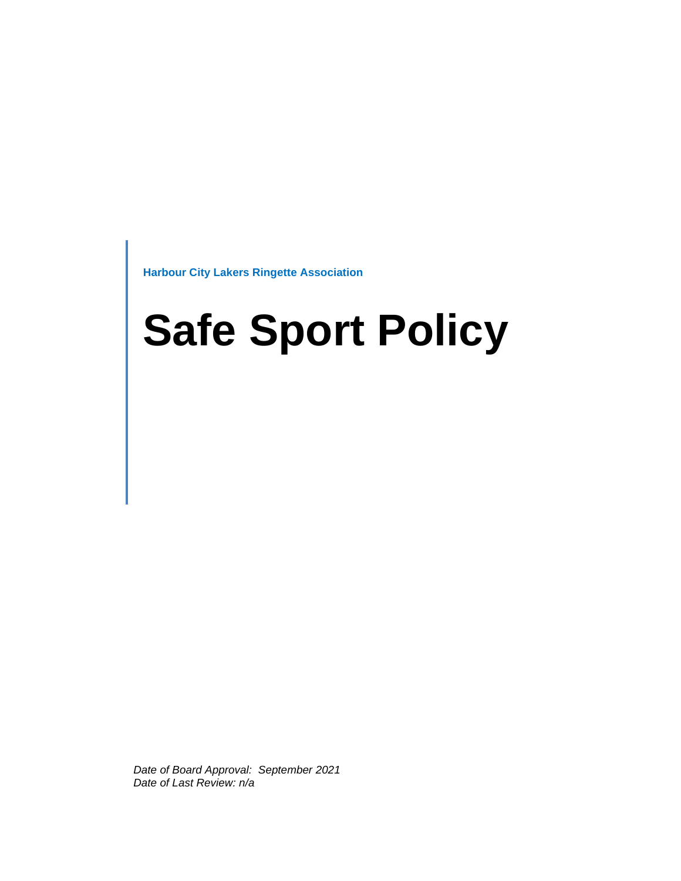**Harbour City Lakers Ringette Association**

# **Safe Sport Policy**

*Date of Board Approval: September 2021 Date of Last Review: n/a*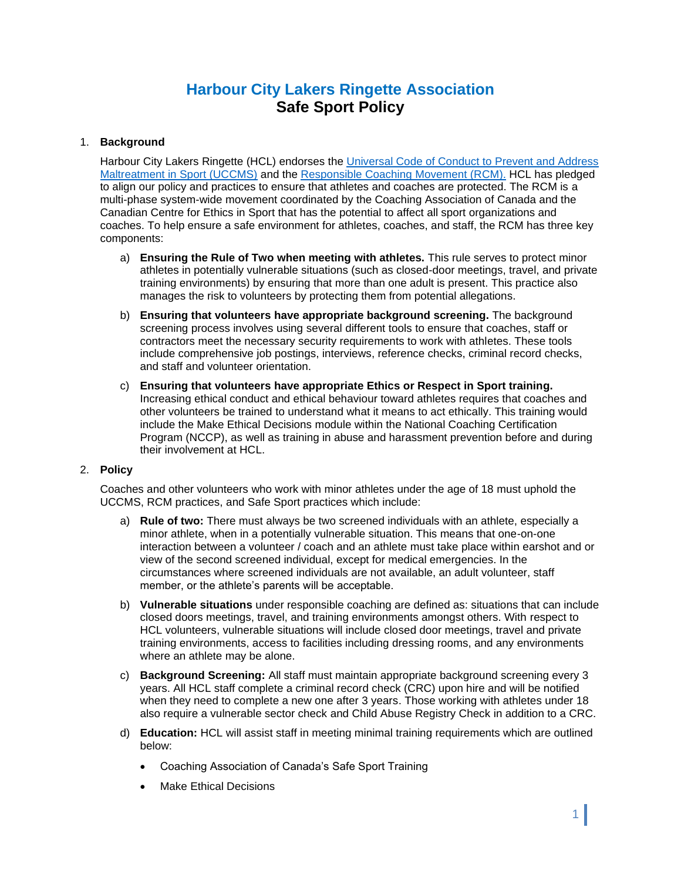# **Harbour City Lakers Ringette Association Safe Sport Policy**

# 1. **Background**

Harbour City Lakers Ringette (HCL) endorses the [Universal Code of Conduct to Prevent and Address](https://sirc.ca/wp-content/uploads/2020/01/UCCMS-v5.1-FINAL-Eng.pdf)  [Maltreatment in Sport \(UCCMS\)](https://sirc.ca/wp-content/uploads/2020/01/UCCMS-v5.1-FINAL-Eng.pdf) and the [Responsible Coaching Movement \(RCM\).](https://coach.ca/responsible-coaching-movement) HCL has pledged to align our policy and practices to ensure that athletes and coaches are protected. The RCM is a multi-phase system-wide movement coordinated by the Coaching Association of Canada and the Canadian Centre for Ethics in Sport that has the potential to affect all sport organizations and coaches. To help ensure a safe environment for athletes, coaches, and staff, the RCM has three key components:

- a) **Ensuring the Rule of Two when meeting with athletes.** This rule serves to protect minor athletes in potentially vulnerable situations (such as closed-door meetings, travel, and private training environments) by ensuring that more than one adult is present. This practice also manages the risk to volunteers by protecting them from potential allegations.
- b) **Ensuring that volunteers have appropriate background screening.** The background screening process involves using several different tools to ensure that coaches, staff or contractors meet the necessary security requirements to work with athletes. These tools include comprehensive job postings, interviews, reference checks, criminal record checks, and staff and volunteer orientation.
- c) **Ensuring that volunteers have appropriate Ethics or Respect in Sport training.** Increasing ethical conduct and ethical behaviour toward athletes requires that coaches and other volunteers be trained to understand what it means to act ethically. This training would include the Make Ethical Decisions module within the National Coaching Certification Program (NCCP), as well as training in abuse and harassment prevention before and during their involvement at HCL.

#### 2. **Policy**

Coaches and other volunteers who work with minor athletes under the age of 18 must uphold the UCCMS, RCM practices, and Safe Sport practices which include:

- a) **Rule of two:** There must always be two screened individuals with an athlete, especially a minor athlete, when in a potentially vulnerable situation. This means that one-on-one interaction between a volunteer / coach and an athlete must take place within earshot and or view of the second screened individual, except for medical emergencies. In the circumstances where screened individuals are not available, an adult volunteer, staff member, or the athlete's parents will be acceptable.
- b) **Vulnerable situations** under responsible coaching are defined as: situations that can include closed doors meetings, travel, and training environments amongst others. With respect to HCL volunteers, vulnerable situations will include closed door meetings, travel and private training environments, access to facilities including dressing rooms, and any environments where an athlete may be alone.
- c) **Background Screening:** All staff must maintain appropriate background screening every 3 years. All HCL staff complete a criminal record check (CRC) upon hire and will be notified when they need to complete a new one after 3 years. Those working with athletes under 18 also require a vulnerable sector check and Child Abuse Registry Check in addition to a CRC.
- d) **Education:** HCL will assist staff in meeting minimal training requirements which are outlined below:
	- Coaching Association of Canada's Safe Sport Training
	- Make Ethical Decisions